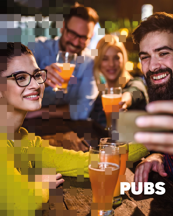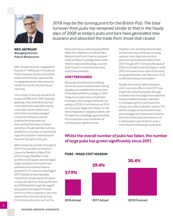

**NEIL MORGAN Managing Director Pubs & Restaurants**

After 10 years of issues, ranging from the loss of 11,000 pubs in that period, friction between tenant and landlord, assets of community value and the changing demands of the consumer, we feel the love for the pub may be returning.

The number of UK pubs has declined by around 28% since 1989. Generally speaking, those that still remain are more viable and sustainable trading businesses. Some market churn will continue, as many managed companies will look to convert underperforming assets into their existing franchised or leased operations. Private operators will also benefit from a number of national and regional companies' individual asset disposals throughout the year.

M&A activity was sporadic throughout 2018. The acquisition of Hawthorn Leisure by NewRiver in May 2018, which brought NewRiver's total portfolio to 629 assets, was the largest single transaction the market had witnessed since Admiral Taverns acquired Punch Taverns in late August 2017. Outside of these big deals, interest from private equity remained strong, with Aprirose, Alchemy Partners and TDR Capital (through Stonegate) all acquisitive throughout the year, whilst a number of operators saw more opportunity in the pub sector than in the restaurant sector, such as The

*2018 may be the turning point for the British Pub. The total turnover from pubs has remained similar to that in the heady days of 2008 as today's pubs and bars have generated new business and absorbed the trade from those that closed.*

> Restaurant Group, which acquired Ribble Valley Inns. Stalwarts, including Fullers, Marston's and Punch Taverns, acquired small portfolios in package deals, whilst relative newcomer, Brewdog, acquired Draft House in a move that not many would have predicted.

## **COST PRESSURES**

Rising operational costs are nothing new to the sector and have been testing operators since before the introduction of the National Minimum Wage in 1999. Today, it is an even more complicated landscape, with average overheads now eating up 52.5% of net revenue, up 3% in just two years. Wage cost inflation on the back of legislation is largely to blame, with the National Living Wage, apprenticeship levy and pension auto-enrolment all contributing to significant rises.

Property costs, primarily rent and rates, are the other key contributors to rising operator costs. High street rents in particular saw sustained inflation from 2014 through 2017. Following the wave of CVAs on the high street that began in early 2018, rents have shown signs of returning to sustainable levels, with reductions of up to 30% becoming commonplace.

Equally, the business rates revaluation, which came into effect in April 2017, was a big hit for many businesses, although increases have now largely been absorbed. Industry bodies have been relentless in campaigning for an overhaul to the archaic and unfair revaluation system. The last four budget announcements have acknowledged its fundamental problems, from the introduction and extension of a relief program specifically for pubs, a more frequent three yearly revaluation

# **Whilst the overall number of pubs has fallen, the number of large pubs has grown significantly since 2001.**

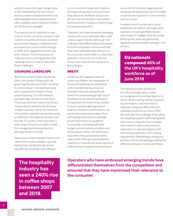system to avoid the huge changes seen in 2017, followed by the most recent announcement of additional reliefs that will be available to all small businesses with a rateable value of below £51,000 in the 2018 Autumn Budget.

The opportunity for operators to pass costs on to the consumer is limited in the current competitive and price-sensitive environment. Margins, in relative terms, are expected to erode further through to 2020, and marginal businesses may enter distress. The primary focus for many remains on driving top lines and sweating assets in order to overcome these challenges.

### **CHANGING LANDSCAPE**

Whilst the overall number of pubs has fallen, the number of large pubs has grown significantly since 2001, resulting in a net increase in the total trade area, with a substantial increase in those pubs employing 25 to 49 people as pubs get larger and serve more food. These pubs and bars, many of which are independently owned by fast growing multiple operators, attract the attention of hospitality operators and private equity, as reflected in the deals we handled over the past 12 months, which have seen a wide range of buyers and sellers in both the managed and tenanted sectors although fewer in number.

New purpose-built managed houses that cater to the modern pubgoer, typically maintaining a family-friendly and allday offering, are simply more efficient

**The hospitality industry has seen a 240% rise in coffee shops between 2007 and 2018.**

to run in a time of rising costs. National and regional operators, such as Greene King, Marston's, McMullen & Sons and JW Lees, are all investing in new builds in either prominent locations or within large housing developments..

Operators, who have embraced emerging trends, such as non-alcoholic offers, café culture, vegan-friendly options, gin and craft beer, have differentiated themselves from the competition and ensured that they have maximised their relevance to the consumer, whilst softer or unbranded operators, such as the Inn Collection Group, have reduced their exposure to brand fatigue.

### **BREXIT**

Aside from the negative impact of some cost inflation, the devaluation of the pound following the referendum on EU membership has driven an increase in tourists visiting the UK, whilst the correspondingly high cost of travelling has boosted the popularity of staycations for those living in Britain. As such, operationally re-gearing a business towards accommodation can prove to be extremely lucrative. Pubs with letting rooms have increasingly proven themselves as capable of successfully competing with both budget accommodation providers and the boutique market, with destination pubs often being perceived as better value, whilst offering a more authentic experience. However, the sheer volume of additional room supply being developed

across the UK is simply staggering and subsequently beginning to put the brakes on performance growth in some markets, such as London.

A weaker pound has also led to some additional cost inflation, although some operators, including JD Wetherspoon, have sought to mitigate costs by buying British goods, while also generating significant positive media coverage in the process.

# **EU nationals composed 40% of the UK's hospitality workforce as of June 2018**

The referendum also dampened the influx of foreign labour, whilst encouraging some existing migrants to return home. Leading software platform, Fourth Analytics, reported that EU nationals composed 40% of the UK's hospitality workforce as of June 2018. We have seen the challenge of recruiting and retaining capable staff inhibit growth, while some companies have changed their menus in order to become less dependent on talented migrant chefs and simplify preparation and cooking requirements. Maintaining a strong and positive culture is increasingly making the difference between success and failure.

**Operators who have embraced emerging trends have differentiated themselves from the competition and ensured that they have maximised their relevance to the consumer.**